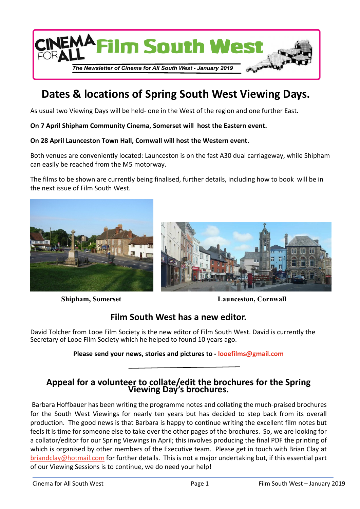

# **Dates & locations of Spring South West Viewing Days.**

As usual two Viewing Days will be held- one in the West of the region and one further East.

**On 7 April Shipham Community Cinema, Somerset will host the Eastern event.**

#### **On 28 April Launceston Town Hall, Cornwall will host the Western event.**

Both venues are conveniently located: Launceston is on the fast A30 dual carriageway, while Shipham can easily be reached from the M5 motorway.

The films to be shown are currently being finalised, further details, including how to book will be in the next issue of Film South West.





**Shipham, Somerset Launceston, Cornwall** 

# **Film South West has a new editor.**

David Tolcher from Looe Film Society is the new editor of Film South West. David is currently the Secretary of Looe Film Society which he helped to found 10 years ago.

#### **Please send your news, stories and pictures to - [looefilms@gmail.com](mailto:looefilms@gmail.com)**

### **Appeal for a volunteer to collate/edit the brochures for the Spring Viewing Day's brochures.**

Barbara Hoffbauer has been writing the programme notes and collating the much-praised brochures for the South West Viewings for nearly ten years but has decided to step back from its overall production. The good news is that Barbara is happy to continue writing the excellent film notes but feels it is time for someone else to take over the other pages of the brochures. So, we are looking for a collator/editor for our Spring Viewings in April; this involves producing the final PDF the printing of which is organised by other members of the Executive team. Please get in touch with Brian Clay at [briandclay@hotmail.com](mailto:briandclay@hotmail.com) for further details. This is not a major undertaking but, if this essential part of our Viewing Sessions is to continue, we do need your help!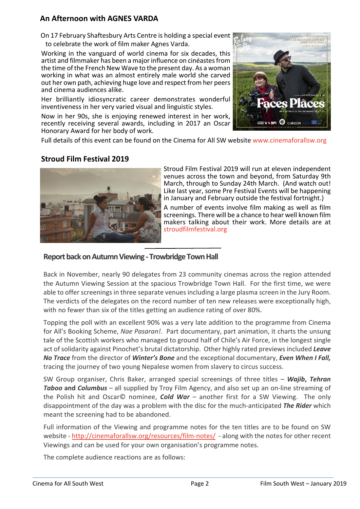## **An Afternoon with AGNES VARDA**

 On 17 February Shaftesbury Arts Centre is holding a special event to celebrate the work of film maker Agnes Varda.

Working in the vanguard of world cinema for six decades, this artist and filmmaker has been a major influence on cinéastes from the time of the French New Wave to the present day. As a woman working in what was an almost entirely male world she carved out her own path, achieving huge love and respect from her peers and cinema audiences alike.

Her brilliantly idiosyncratic career demonstrates wonderful inventiveness in her very varied visual and linguistic styles.

Now in her 90s, she is enjoying renewed interest in her work, recently receiving several awards, including in 2017 an Oscar Honorary Award for her body of work.



Full details of this event can be found on the Cinema for All SW websit[e www.cinemaforallsw.org](www.cinemaforallsw.org)

#### **Stroud Film Festival 2019**



Stroud Film Festival 2019 will run at eleven independent venues across the town and beyond, from Saturday 9th March, through to Sunday 24th March. (And watch out! Like last year, some Pre Festival Events will be happening in January and February outside the festival fortnight.)

A number of events involve film making as well as film screenings. There will be a chance to hear well known film makers talking about their work. More details are at [stroudfilmfestival.org](www.stroudfilmfestival.org)

#### **Report back on Autumn Viewing - Trowbridge Town Hall**

Back in November, nearly 90 delegates from 23 community cinemas across the region attended the Autumn Viewing Session at the spacious Trowbridge Town Hall. For the first time, we were able to offer screenings in three separate venues including a large plasma screen in the Jury Room. The verdicts of the delegates on the record number of ten new releases were exceptionally high, with no fewer than six of the titles getting an audience rating of over 80%.

Topping the poll with an excellent 90% was a very late addition to the programme from Cinema for All's Booking Scheme, *Nae Pasaran!*. Part documentary, part animation, it charts the unsung tale of the Scottish workers who managed to ground half of Chile's Air Force, in the longest single act of solidarity against Pinochet's brutal dictatorship. Other highly rated previews included *Leave No Trace* from the director of *Winter's Bone* and the exceptional documentary, *Even When I Fall,* tracing the journey of two young Nepalese women from slavery to circus success.

SW Group organiser, Chris Baker, arranged special screenings of three titles – *Wajib***,** *Tehran Taboo* **and** *Columbus* – all supplied by Troy Film Agency, and also set up an on-line streaming of the Polish hit and Oscar© nominee, *Cold War* – another first for a SW Viewing. The only disappointment of the day was a problem with the disc for the much-anticipated *The Rider* which meant the screening had to be abandoned.

Full information of the Viewing and programme notes for the ten titles are to be found on SW website - <http://cinemaforallsw.org/resources/film-notes/>- along with the notes for other recent Viewings and can be used for your own organisation's programme notes.

The complete audience reactions are as follows: